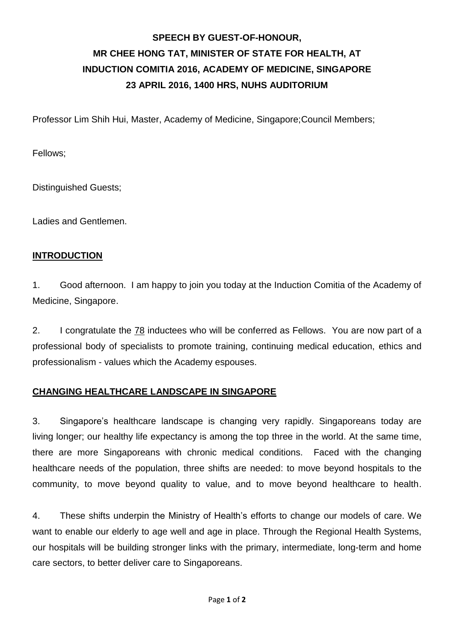# **SPEECH BY GUEST-OF-HONOUR, MR CHEE HONG TAT, MINISTER OF STATE FOR HEALTH, AT INDUCTION COMITIA 2016, ACADEMY OF MEDICINE, SINGAPORE 23 APRIL 2016, 1400 HRS, NUHS AUDITORIUM**

Professor Lim Shih Hui, Master, Academy of Medicine, Singapore;Council Members;

Fellows;

Distinguished Guests;

Ladies and Gentlemen.

#### **INTRODUCTION**

1. Good afternoon. I am happy to join you today at the Induction Comitia of the Academy of Medicine, Singapore.

2. I congratulate the 78 inductees who will be conferred as Fellows. You are now part of a professional body of specialists to promote training, continuing medical education, ethics and professionalism - values which the Academy espouses.

#### **CHANGING HEALTHCARE LANDSCAPE IN SINGAPORE**

3. Singapore's healthcare landscape is changing very rapidly. Singaporeans today are living longer; our healthy life expectancy is among the top three in the world. At the same time, there are more Singaporeans with chronic medical conditions. Faced with the changing healthcare needs of the population, three shifts are needed: to move beyond hospitals to the community, to move beyond quality to value, and to move beyond healthcare to health.

4. These shifts underpin the Ministry of Health's efforts to change our models of care. We want to enable our elderly to age well and age in place. Through the Regional Health Systems, our hospitals will be building stronger links with the primary, intermediate, long-term and home care sectors, to better deliver care to Singaporeans.